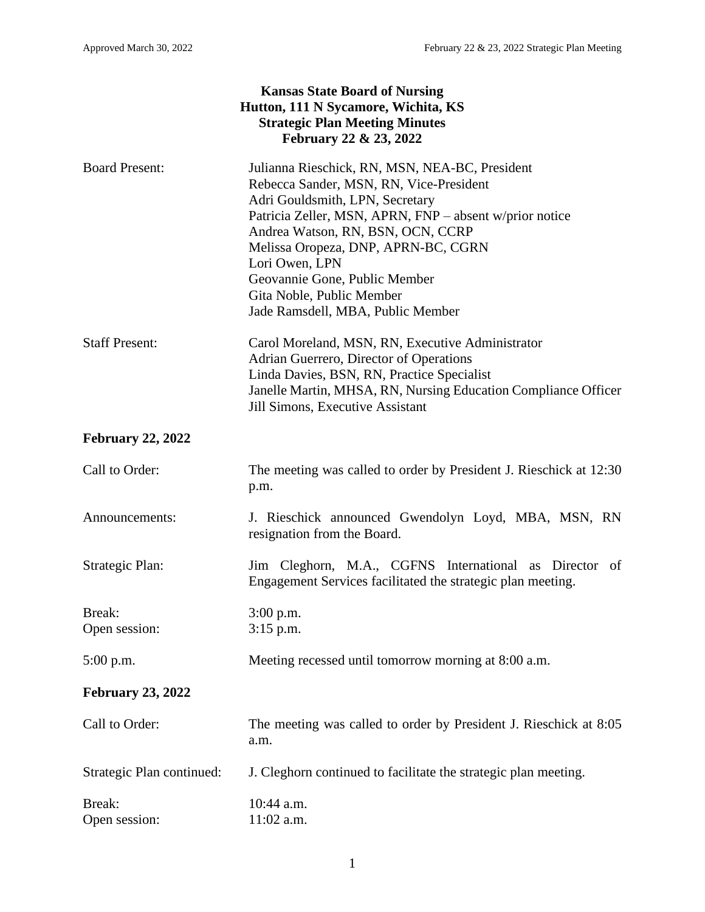| <b>Kansas State Board of Nursing</b><br>Hutton, 111 N Sycamore, Wichita, KS<br><b>Strategic Plan Meeting Minutes</b><br>February 22 & 23, 2022 |                                                                                                                                                                                                                                                                                                                                                                                          |
|------------------------------------------------------------------------------------------------------------------------------------------------|------------------------------------------------------------------------------------------------------------------------------------------------------------------------------------------------------------------------------------------------------------------------------------------------------------------------------------------------------------------------------------------|
| <b>Board Present:</b>                                                                                                                          | Julianna Rieschick, RN, MSN, NEA-BC, President<br>Rebecca Sander, MSN, RN, Vice-President<br>Adri Gouldsmith, LPN, Secretary<br>Patricia Zeller, MSN, APRN, FNP - absent w/prior notice<br>Andrea Watson, RN, BSN, OCN, CCRP<br>Melissa Oropeza, DNP, APRN-BC, CGRN<br>Lori Owen, LPN<br>Geovannie Gone, Public Member<br>Gita Noble, Public Member<br>Jade Ramsdell, MBA, Public Member |
| <b>Staff Present:</b>                                                                                                                          | Carol Moreland, MSN, RN, Executive Administrator<br>Adrian Guerrero, Director of Operations<br>Linda Davies, BSN, RN, Practice Specialist<br>Janelle Martin, MHSA, RN, Nursing Education Compliance Officer<br><b>Jill Simons, Executive Assistant</b>                                                                                                                                   |
| <b>February 22, 2022</b>                                                                                                                       |                                                                                                                                                                                                                                                                                                                                                                                          |
| Call to Order:                                                                                                                                 | The meeting was called to order by President J. Rieschick at 12:30<br>p.m.                                                                                                                                                                                                                                                                                                               |
| Announcements:                                                                                                                                 | J. Rieschick announced Gwendolyn Loyd, MBA, MSN, RN<br>resignation from the Board.                                                                                                                                                                                                                                                                                                       |
| Strategic Plan:                                                                                                                                | Jim Cleghorn, M.A., CGFNS International as Director of<br>Engagement Services facilitated the strategic plan meeting.                                                                                                                                                                                                                                                                    |
| Break:<br>Open session:                                                                                                                        | $3:00$ p.m.<br>$3:15$ p.m.                                                                                                                                                                                                                                                                                                                                                               |
| 5:00 p.m.                                                                                                                                      | Meeting recessed until tomorrow morning at 8:00 a.m.                                                                                                                                                                                                                                                                                                                                     |
| <b>February 23, 2022</b>                                                                                                                       |                                                                                                                                                                                                                                                                                                                                                                                          |
| Call to Order:                                                                                                                                 | The meeting was called to order by President J. Rieschick at 8:05<br>a.m.                                                                                                                                                                                                                                                                                                                |
| Strategic Plan continued:                                                                                                                      | J. Cleghorn continued to facilitate the strategic plan meeting.                                                                                                                                                                                                                                                                                                                          |
| Break:<br>Open session:                                                                                                                        | 10:44 a.m.<br>$11:02$ a.m.                                                                                                                                                                                                                                                                                                                                                               |